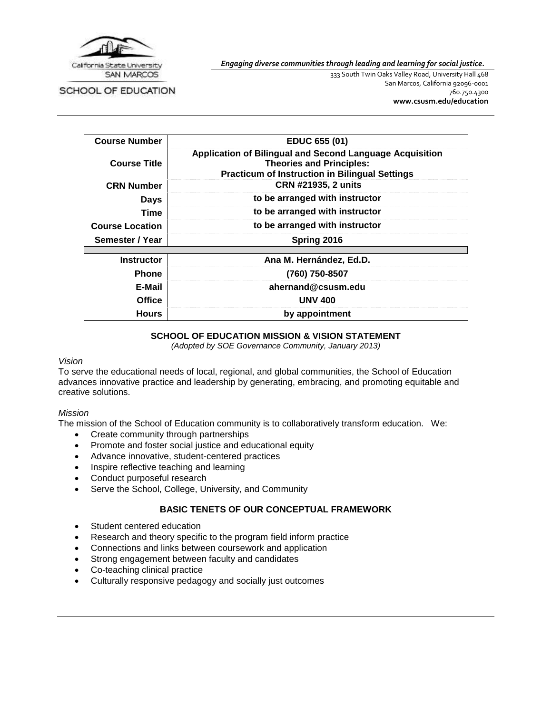

*Engaging diverse communities through leading and learning for social justice.*

SCHOOL OF EDUCATION

333 South Twin Oaks Valley Road, University Hall 468 San Marcos, California 92096-0001 760.750.4300 **[www.csusm.edu/education](http://www.csusm.edu/education)**

| <b>Course Number</b>   | EDUC 655 (01)                                                                                                                                        |
|------------------------|------------------------------------------------------------------------------------------------------------------------------------------------------|
| <b>Course Title</b>    | Application of Bilingual and Second Language Acquisition<br><b>Theories and Principles:</b><br><b>Practicum of Instruction in Bilingual Settings</b> |
| <b>CRN Number</b>      | CRN #21935, 2 units                                                                                                                                  |
| <b>Days</b>            | to be arranged with instructor                                                                                                                       |
| <b>Time</b>            | to be arranged with instructor                                                                                                                       |
| <b>Course Location</b> | to be arranged with instructor                                                                                                                       |
| Semester / Year        | Spring 2016                                                                                                                                          |
|                        |                                                                                                                                                      |
| <b>Instructor</b>      | Ana M. Hernández, Ed.D.                                                                                                                              |
| <b>Phone</b>           | (760) 750-8507                                                                                                                                       |
| E-Mail                 | ahernand@csusm.edu                                                                                                                                   |
| <b>Office</b>          | <b>UNV 400</b>                                                                                                                                       |
| <b>Hours</b>           | by appointment                                                                                                                                       |

#### **SCHOOL OF EDUCATION MISSION & VISION STATEMENT**

*(Adopted by SOE Governance Community, January 2013)*

#### *Vision*

To serve the educational needs of local, regional, and global communities, the School of Education advances innovative practice and leadership by generating, embracing, and promoting equitable and creative solutions.

# *Mission*

The mission of the School of Education community is to collaboratively transform education. We:

- Create community through partnerships
- Promote and foster social justice and educational equity
- Advance innovative, student-centered practices
- Inspire reflective teaching and learning
- Conduct purposeful research
- Serve the School, College, University, and Community

#### **BASIC TENETS OF OUR CONCEPTUAL FRAMEWORK**

- Student centered education
- Research and theory specific to the program field inform practice
- Connections and links between coursework and application
- Strong engagement between faculty and candidates
- Co-teaching clinical practice
- Culturally responsive pedagogy and socially just outcomes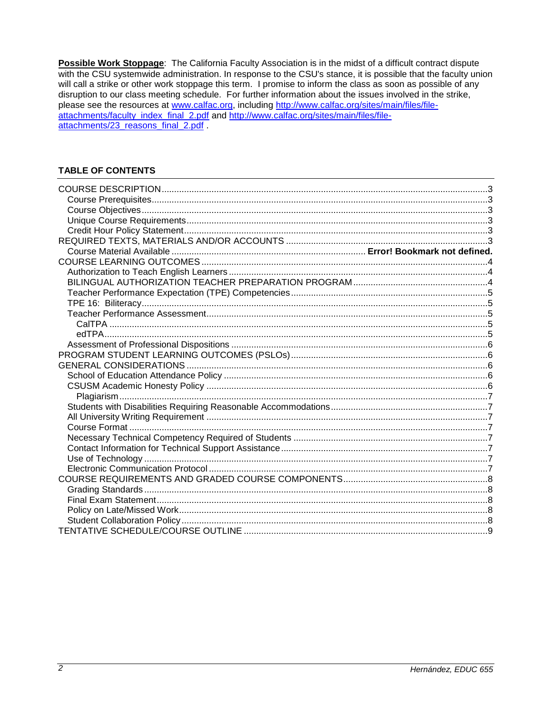Possible Work Stoppage: The California Faculty Association is in the midst of a difficult contract dispute with the CSU systemwide administration. In response to the CSU's stance, it is possible that the faculty union will call a strike or other work stoppage this term. I promise to inform the class as soon as possible of any disruption to our class meeting schedule. For further information about the issues involved in the strike, please see the resources at www.calfac.org, including http://www.calfac.org/sites/main/files/fileattachments/faculty\_index\_final\_2.pdf and http://www.calfac.org/sites/main/files/fileattachments/23\_reasons\_final\_2.pdf

# **TABLE OF CONTENTS**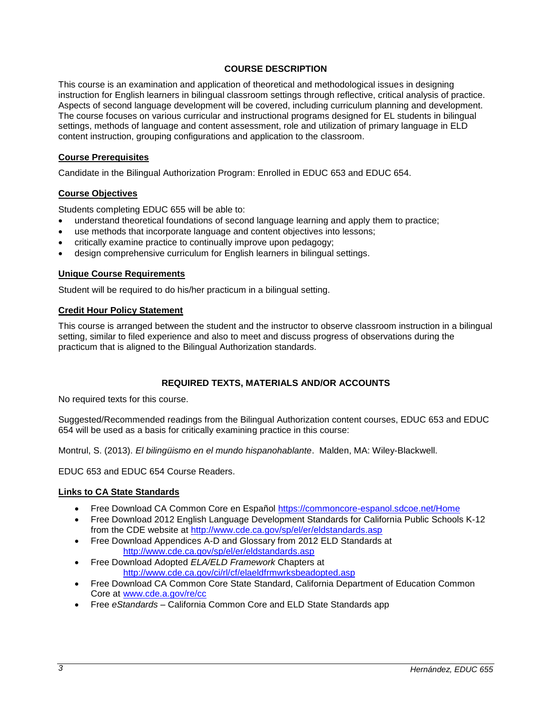# **COURSE DESCRIPTION**

<span id="page-2-0"></span>This course is an examination and application of theoretical and methodological issues in designing instruction for English learners in bilingual classroom settings through reflective, critical analysis of practice. Aspects of second language development will be covered, including curriculum planning and development. The course focuses on various curricular and instructional programs designed for EL students in bilingual settings, methods of language and content assessment, role and utilization of primary language in ELD content instruction, grouping configurations and application to the classroom.

### <span id="page-2-1"></span>**Course Prerequisites**

Candidate in the Bilingual Authorization Program: Enrolled in EDUC 653 and EDUC 654.

### <span id="page-2-2"></span>**Course Objectives**

Students completing EDUC 655 will be able to:

- understand theoretical foundations of second language learning and apply them to practice;
- use methods that incorporate language and content objectives into lessons;
- critically examine practice to continually improve upon pedagogy;
- design comprehensive curriculum for English learners in bilingual settings.

### <span id="page-2-3"></span>**Unique Course Requirements**

Student will be required to do his/her practicum in a bilingual setting.

### <span id="page-2-4"></span>**Credit Hour Policy Statement**

This course is arranged between the student and the instructor to observe classroom instruction in a bilingual setting, similar to filed experience and also to meet and discuss progress of observations during the practicum that is aligned to the Bilingual Authorization standards.

# **REQUIRED TEXTS, MATERIALS AND/OR ACCOUNTS**

<span id="page-2-5"></span>No required texts for this course.

Suggested/Recommended readings from the Bilingual Authorization content courses, EDUC 653 and EDUC 654 will be used as a basis for critically examining practice in this course:

Montrul, S. (2013). *El bilingüismo en el mundo hispanohablante*. Malden, MA: Wiley-Blackwell.

EDUC 653 and EDUC 654 Course Readers.

#### **Links to CA State Standards**

- Free Download CA Common Core en Español<https://commoncore-espanol.sdcoe.net/Home>
- Free Download 2012 English Language Development Standards for California Public Schools K-12 from the CDE website at<http://www.cde.ca.gov/sp/el/er/eldstandards.asp>
- Free Download Appendices A-D and Glossary from 2012 ELD Standards at <http://www.cde.ca.gov/sp/el/er/eldstandards.asp>
- Free Download Adopted *ELA/ELD Framework* Chapters at <http://www.cde.ca.gov/ci/rl/cf/elaeldfrmwrksbeadopted.asp>
- Free Download CA Common Core State Standard, California Department of Education Common Core at [www.cde.a.gov/re/cc](http://www.cde.a.gov/re/cc)
- Free *eStandards*  California Common Core and ELD State Standards app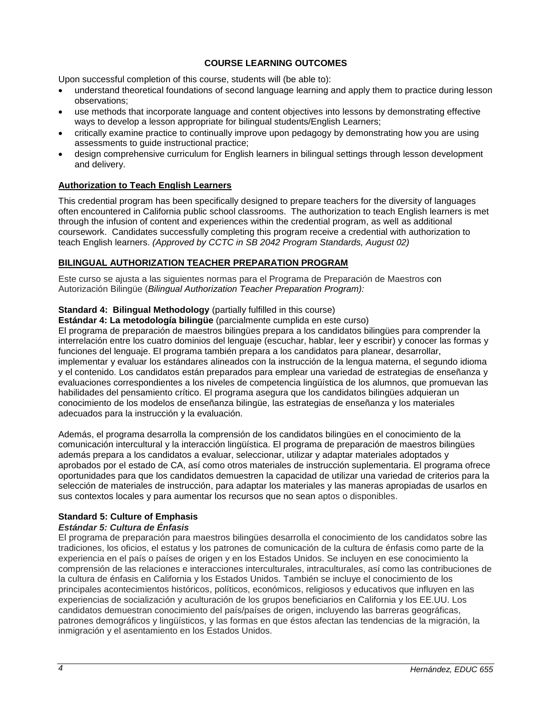# **COURSE LEARNING OUTCOMES**

<span id="page-3-0"></span>Upon successful completion of this course, students will (be able to):

- understand theoretical foundations of second language learning and apply them to practice during lesson observations;
- use methods that incorporate language and content objectives into lessons by demonstrating effective ways to develop a lesson appropriate for bilingual students/English Learners;
- critically examine practice to continually improve upon pedagogy by demonstrating how you are using assessments to guide instructional practice;
- design comprehensive curriculum for English learners in bilingual settings through lesson development and delivery.

# <span id="page-3-1"></span>**Authorization to Teach English Learners**

This credential program has been specifically designed to prepare teachers for the diversity of languages often encountered in California public school classrooms. The authorization to teach English learners is met through the infusion of content and experiences within the credential program, as well as additional coursework. Candidates successfully completing this program receive a credential with authorization to teach English learners. *(Approved by CCTC in SB 2042 Program Standards, August 02)*

# <span id="page-3-2"></span>**BILINGUAL AUTHORIZATION TEACHER PREPARATION PROGRAM**

Este curso se ajusta a las siguientes normas para el Programa de Preparación de Maestros con Autorización Bilingüe (*Bilingual Authorization Teacher Preparation Program):*

# **Standard 4: Bilingual Methodology** (partially fulfilled in this course)

**Estándar 4: La metodología bilingüe** (parcialmente cumplida en este curso)

El programa de preparación de maestros bilingües prepara a los candidatos bilingües para comprender la interrelación entre los cuatro dominios del lenguaje (escuchar, hablar, leer y escribir) y conocer las formas y funciones del lenguaje. El programa también prepara a los candidatos para planear, desarrollar, implementar y evaluar los estándares alineados con la instrucción de la lengua materna, el segundo idioma y el contenido. Los candidatos están preparados para emplear una variedad de estrategias de enseñanza y evaluaciones correspondientes a los niveles de competencia lingüística de los alumnos, que promuevan las habilidades del pensamiento crítico. El programa asegura que los candidatos bilingües adquieran un conocimiento de los modelos de enseñanza bilingüe, las estrategias de enseñanza y los materiales adecuados para la instrucción y la evaluación.

Además, el programa desarrolla la comprensión de los candidatos bilingües en el conocimiento de la comunicación intercultural y la interacción lingüística. El programa de preparación de maestros bilingües además prepara a los candidatos a evaluar, seleccionar, utilizar y adaptar materiales adoptados y aprobados por el estado de CA, así como otros materiales de instrucción suplementaria. El programa ofrece oportunidades para que los candidatos demuestren la capacidad de utilizar una variedad de criterios para la selección de materiales de instrucción, para adaptar los materiales y las maneras apropiadas de usarlos en sus contextos locales y para aumentar los recursos que no sean aptos o disponibles.

# **Standard 5: Culture of Emphasis**

# *Estándar 5: Cultura de Énfasis*

El programa de preparación para maestros bilingües desarrolla el conocimiento de los candidatos sobre las tradiciones, los oficios, el estatus y los patrones de comunicación de la cultura de énfasis como parte de la experiencia en el país o países de origen y en los Estados Unidos. Se incluyen en ese conocimiento la comprensión de las relaciones e interacciones interculturales, intraculturales, así como las contribuciones de la cultura de énfasis en California y los Estados Unidos. También se incluye el conocimiento de los principales acontecimientos históricos, políticos, económicos, religiosos y educativos que influyen en las experiencias de socialización y aculturación de los grupos beneficiarios en California y los EE.UU. Los candidatos demuestran conocimiento del país/países de origen, incluyendo las barreras geográficas, patrones demográficos y lingüísticos, y las formas en que éstos afectan las tendencias de la migración, la inmigración y el asentamiento en los Estados Unidos.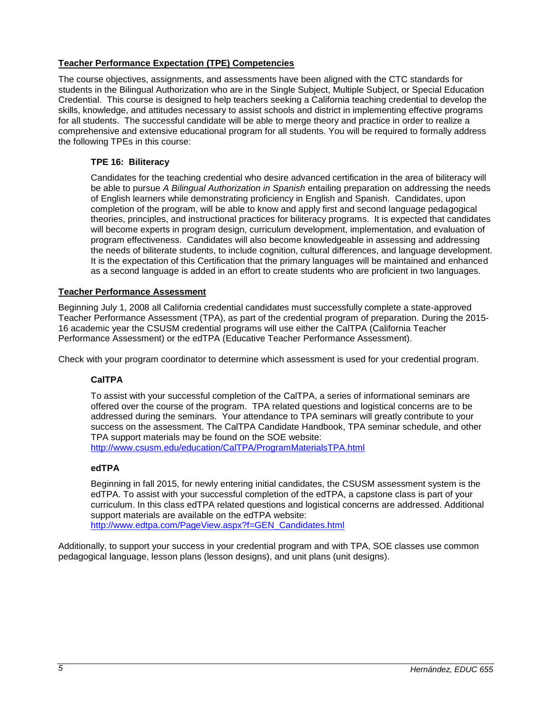# <span id="page-4-0"></span>**Teacher Performance Expectation (TPE) Competencies**

The course objectives, assignments, and assessments have been aligned with the CTC standards for students in the Bilingual Authorization who are in the Single Subject, Multiple Subject, or Special Education Credential. This course is designed to help teachers seeking a California teaching credential to develop the skills, knowledge, and attitudes necessary to assist schools and district in implementing effective programs for all students. The successful candidate will be able to merge theory and practice in order to realize a comprehensive and extensive educational program for all students. You will be required to formally address the following TPEs in this course:

# <span id="page-4-1"></span>**TPE 16: Biliteracy**

Candidates for the teaching credential who desire advanced certification in the area of biliteracy will be able to pursue *A Bilingual Authorization in Spanish* entailing preparation on addressing the needs of English learners while demonstrating proficiency in English and Spanish. Candidates, upon completion of the program, will be able to know and apply first and second language pedagogical theories, principles, and instructional practices for biliteracy programs. It is expected that candidates will become experts in program design, curriculum development, implementation, and evaluation of program effectiveness. Candidates will also become knowledgeable in assessing and addressing the needs of biliterate students, to include cognition, cultural differences, and language development. It is the expectation of this Certification that the primary languages will be maintained and enhanced as a second language is added in an effort to create students who are proficient in two languages.

# <span id="page-4-2"></span>**Teacher Performance Assessment**

Beginning July 1, 2008 all California credential candidates must successfully complete a state-approved Teacher Performance Assessment (TPA), as part of the credential program of preparation. During the 2015- 16 academic year the CSUSM credential programs will use either the CalTPA (California Teacher Performance Assessment) or the edTPA (Educative Teacher Performance Assessment).

<span id="page-4-3"></span>Check with your program coordinator to determine which assessment is used for your credential program.

# **CalTPA**

To assist with your successful completion of the CalTPA, a series of informational seminars are offered over the course of the program. TPA related questions and logistical concerns are to be addressed during the seminars. Your attendance to TPA seminars will greatly contribute to your success on the assessment. The CalTPA Candidate Handbook, TPA seminar schedule, and other TPA support materials may be found on the SOE website: <http://www.csusm.edu/education/CalTPA/ProgramMaterialsTPA.html>

# <span id="page-4-4"></span>**edTPA**

Beginning in fall 2015, for newly entering initial candidates, the CSUSM assessment system is the edTPA. To assist with your successful completion of the edTPA, a capstone class is part of your curriculum. In this class edTPA related questions and logistical concerns are addressed. Additional support materials are available on the edTPA website: [http://www.edtpa.com/PageView.aspx?f=GEN\\_Candidates.html](http://www.edtpa.com/PageView.aspx?f=GEN_Candidates.html)

<span id="page-4-5"></span>Additionally, to support your success in your credential program and with TPA, SOE classes use common pedagogical language, lesson plans (lesson designs), and unit plans (unit designs).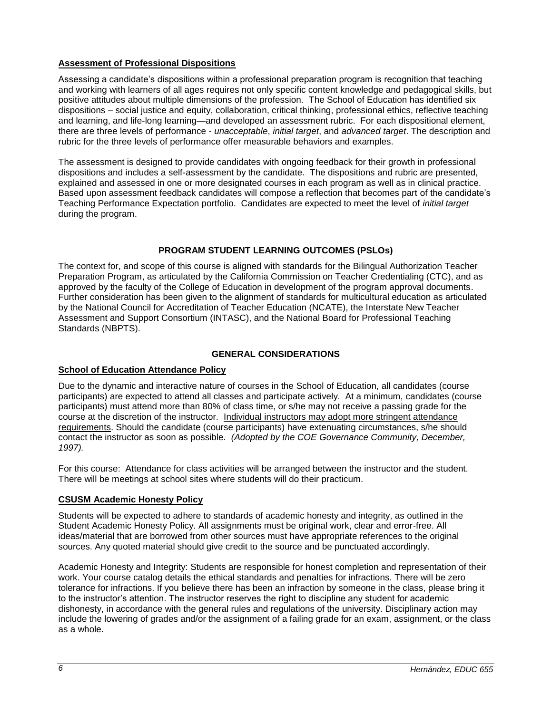# **Assessment of Professional Dispositions**

Assessing a candidate's dispositions within a professional preparation program is recognition that teaching and working with learners of all ages requires not only specific content knowledge and pedagogical skills, but positive attitudes about multiple dimensions of the profession. The School of Education has identified six dispositions – social justice and equity, collaboration, critical thinking, professional ethics, reflective teaching and learning, and life-long learning—and developed an assessment rubric. For each dispositional element, there are three levels of performance - *unacceptable*, *initial target*, and *advanced target*. The description and rubric for the three levels of performance offer measurable behaviors and examples.

The assessment is designed to provide candidates with ongoing feedback for their growth in professional dispositions and includes a self-assessment by the candidate. The dispositions and rubric are presented, explained and assessed in one or more designated courses in each program as well as in clinical practice. Based upon assessment feedback candidates will compose a reflection that becomes part of the candidate's Teaching Performance Expectation portfolio. Candidates are expected to meet the level of *initial target* during the program.

# **PROGRAM STUDENT LEARNING OUTCOMES (PSLOs)**

<span id="page-5-0"></span>The context for, and scope of this course is aligned with standards for the Bilingual Authorization Teacher Preparation Program, as articulated by the California Commission on Teacher Credentialing (CTC), and as approved by the faculty of the College of Education in development of the program approval documents. Further consideration has been given to the alignment of standards for multicultural education as articulated by the National Council for Accreditation of Teacher Education (NCATE), the Interstate New Teacher Assessment and Support Consortium (INTASC), and the National Board for Professional Teaching Standards (NBPTS).

# **GENERAL CONSIDERATIONS**

# <span id="page-5-2"></span><span id="page-5-1"></span>**School of Education Attendance Policy**

Due to the dynamic and interactive nature of courses in the School of Education, all candidates (course participants) are expected to attend all classes and participate actively. At a minimum, candidates (course participants) must attend more than 80% of class time, or s/he may not receive a passing grade for the course at the discretion of the instructor. Individual instructors may adopt more stringent attendance requirements. Should the candidate (course participants) have extenuating circumstances, s/he should contact the instructor as soon as possible. *(Adopted by the COE Governance Community, December, 1997).*

For this course: Attendance for class activities will be arranged between the instructor and the student. There will be meetings at school sites where students will do their practicum.

# <span id="page-5-3"></span>**CSUSM Academic Honesty Policy**

Students will be expected to adhere to standards of academic honesty and integrity, as outlined in the Student Academic Honesty Policy. All assignments must be original work, clear and error-free. All ideas/material that are borrowed from other sources must have appropriate references to the original sources. Any quoted material should give credit to the source and be punctuated accordingly.

Academic Honesty and Integrity: Students are responsible for honest completion and representation of their work. Your course catalog details the ethical standards and penalties for infractions. There will be zero tolerance for infractions. If you believe there has been an infraction by someone in the class, please bring it to the instructor's attention. The instructor reserves the right to discipline any student for academic dishonesty, in accordance with the general rules and regulations of the university. Disciplinary action may include the lowering of grades and/or the assignment of a failing grade for an exam, assignment, or the class as a whole.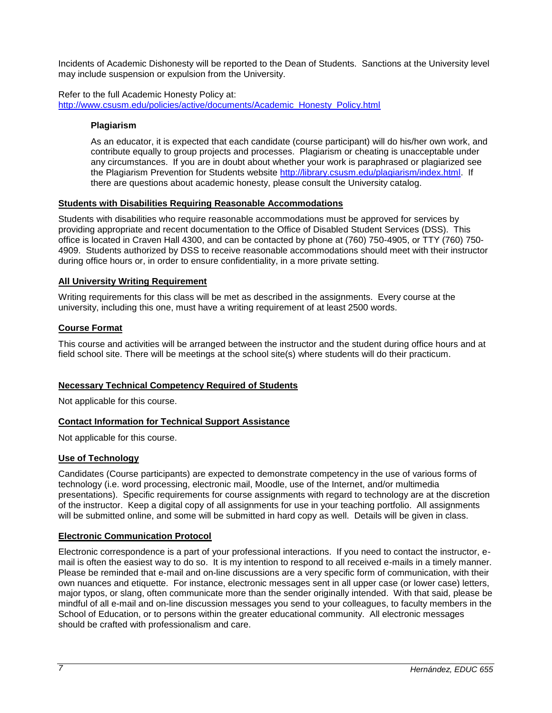Incidents of Academic Dishonesty will be reported to the Dean of Students. Sanctions at the University level may include suspension or expulsion from the University.

<span id="page-6-0"></span>Refer to the full Academic Honesty Policy at: [http://www.csusm.edu/policies/active/documents/Academic\\_Honesty\\_Policy.html](http://www.csusm.edu/policies/active/documents/Academic_Honesty_Policy.html)

# **Plagiarism**

As an educator, it is expected that each candidate (course participant) will do his/her own work, and contribute equally to group projects and processes. Plagiarism or cheating is unacceptable under any circumstances. If you are in doubt about whether your work is paraphrased or plagiarized see the Plagiarism Prevention for Students website [http://library.csusm.edu/plagiarism/index.html.](http://library.csusm.edu/plagiarism/index.html) If there are questions about academic honesty, please consult the University catalog.

### <span id="page-6-1"></span>**Students with Disabilities Requiring Reasonable Accommodations**

Students with disabilities who require reasonable accommodations must be approved for services by providing appropriate and recent documentation to the Office of Disabled Student Services (DSS). This office is located in Craven Hall 4300, and can be contacted by phone at (760) 750-4905, or TTY (760) 750- 4909. Students authorized by DSS to receive reasonable accommodations should meet with their instructor during office hours or, in order to ensure confidentiality, in a more private setting.

### <span id="page-6-2"></span>**All University Writing Requirement**

Writing requirements for this class will be met as described in the assignments. Every course at the university, including this one, must have a writing requirement of at least 2500 words.

### <span id="page-6-3"></span>**Course Format**

This course and activities will be arranged between the instructor and the student during office hours and at field school site. There will be meetings at the school site(s) where students will do their practicum.

# <span id="page-6-4"></span>**Necessary Technical Competency Required of Students**

Not applicable for this course.

# <span id="page-6-5"></span>**Contact Information for Technical Support Assistance**

Not applicable for this course.

# <span id="page-6-6"></span>**Use of Technology**

Candidates (Course participants) are expected to demonstrate competency in the use of various forms of technology (i.e. word processing, electronic mail, Moodle, use of the Internet, and/or multimedia presentations). Specific requirements for course assignments with regard to technology are at the discretion of the instructor. Keep a digital copy of all assignments for use in your teaching portfolio. All assignments will be submitted online, and some will be submitted in hard copy as well. Details will be given in class.

#### <span id="page-6-7"></span>**Electronic Communication Protocol**

Electronic correspondence is a part of your professional interactions. If you need to contact the instructor, email is often the easiest way to do so. It is my intention to respond to all received e-mails in a timely manner. Please be reminded that e-mail and on-line discussions are a very specific form of communication, with their own nuances and etiquette. For instance, electronic messages sent in all upper case (or lower case) letters, major typos, or slang, often communicate more than the sender originally intended. With that said, please be mindful of all e-mail and on-line discussion messages you send to your colleagues, to faculty members in the School of Education, or to persons within the greater educational community. All electronic messages should be crafted with professionalism and care.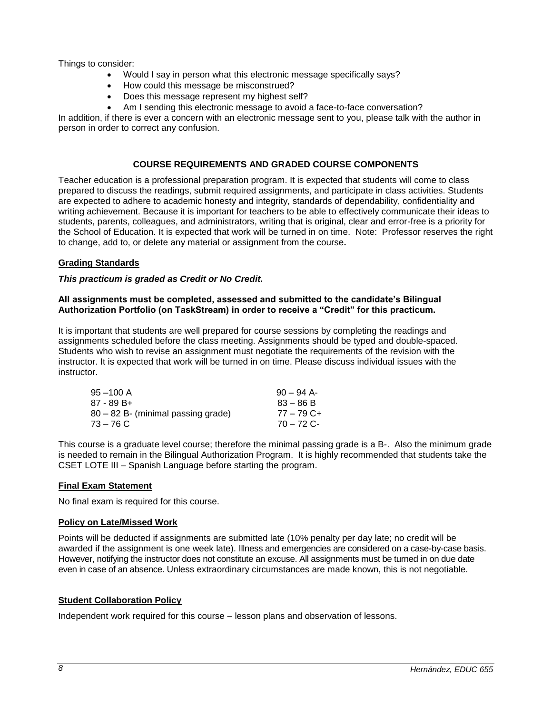Things to consider:

- Would I say in person what this electronic message specifically says?
- How could this message be misconstrued?
- Does this message represent my highest self?
- Am I sending this electronic message to avoid a face-to-face conversation?

In addition, if there is ever a concern with an electronic message sent to you, please talk with the author in person in order to correct any confusion.

# **COURSE REQUIREMENTS AND GRADED COURSE COMPONENTS**

<span id="page-7-0"></span>Teacher education is a professional preparation program. It is expected that students will come to class prepared to discuss the readings, submit required assignments, and participate in class activities. Students are expected to adhere to academic honesty and integrity, standards of dependability, confidentiality and writing achievement. Because it is important for teachers to be able to effectively communicate their ideas to students, parents, colleagues, and administrators, writing that is original, clear and error-free is a priority for the School of Education. It is expected that work will be turned in on time. Note: Professor reserves the right to change, add to, or delete any material or assignment from the course*.*

# <span id="page-7-1"></span>**Grading Standards**

# *This practicum is graded as Credit or No Credit.*

### **All assignments must be completed, assessed and submitted to the candidate's Bilingual Authorization Portfolio (on TaskStream) in order to receive a "Credit" for this practicum.**

It is important that students are well prepared for course sessions by completing the readings and assignments scheduled before the class meeting. Assignments should be typed and double-spaced. Students who wish to revise an assignment must negotiate the requirements of the revision with the instructor. It is expected that work will be turned in on time. Please discuss individual issues with the instructor.

| $95 - 100$ A                       | $90 - 94$ A- |
|------------------------------------|--------------|
| 87 - 89 B+                         | $83 - 86 B$  |
| 80 – 82 B- (minimal passing grade) | 77 – 79 C+   |
| 73 – 76 C                          | $70 - 72$ C- |

This course is a graduate level course; therefore the minimal passing grade is a B-. Also the minimum grade is needed to remain in the Bilingual Authorization Program. It is highly recommended that students take the CSET LOTE III – Spanish Language before starting the program.

# <span id="page-7-2"></span>**Final Exam Statement**

No final exam is required for this course.

# <span id="page-7-3"></span>**Policy on Late/Missed Work**

Points will be deducted if assignments are submitted late (10% penalty per day late; no credit will be awarded if the assignment is one week late). Illness and emergencies are considered on a case-by-case basis. However, notifying the instructor does not constitute an excuse. All assignments must be turned in on due date even in case of an absence. Unless extraordinary circumstances are made known, this is not negotiable.

# <span id="page-7-4"></span>**Student Collaboration Policy**

Independent work required for this course – lesson plans and observation of lessons.